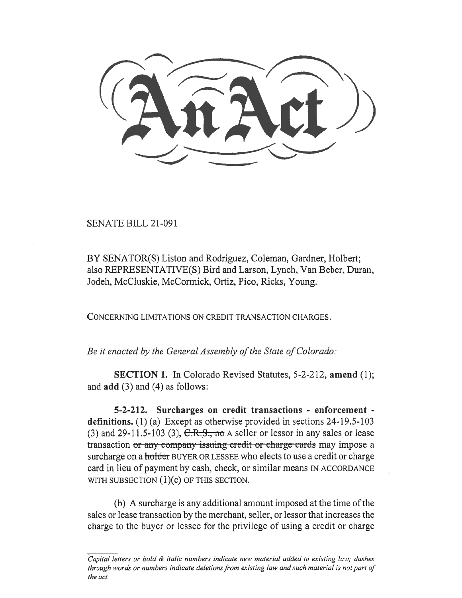SENATE BILL 21-091

BY SENATOR(S) Liston and Rodriguez, Coleman, Gardner, Holbert; also REPRESENTATIVE(S) Bird and Larson, Lynch, Van Beber, Duran, Jodeh, McCluskie, McCormick, Ortiz, Pico, Ricks, Young.

CONCERNING LIMITATIONS ON CREDIT TRANSACTION CHARGES.

Be it enacted by the General Assembly of the State of Colorado:

SECTION 1. In Colorado Revised Statutes, 5-2-212, amend (1); and add (3) and (4) as follows:

5-2-212. Surcharges on credit transactions - enforcement definitions. (1) (a) Except as otherwise provided in sections 24-19.5-103 (3) and 29-11.5-103 (3),  $C.R.S.,$  no A seller or lessor in any sales or lease transaction or any company issuing credit or charge cards may impose a surcharge on a holder BUYER OR LESSEE who elects to use a credit or charge card in lieu of payment by cash, check, or similar means IN ACCORDANCE WITH SUBSECTION  $(1)(c)$  OF THIS SECTION.

(b) A surcharge is any additional amount imposed at the time of the sales or lease transaction by the merchant, seller, or lessor that increases the charge to the buyer or lessee for the privilege of using a credit or charge

Capital letters or bold & italic numbers indicate new material added to existing law; dashes through words or numbers indicate deletions from existing law and such material is not part of the act.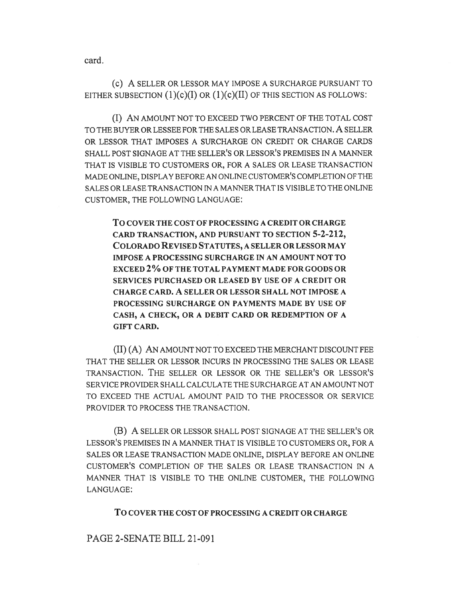card.

(c) A SELLER OR LESSOR MAY IMPOSE A SURCHARGE PURSUANT TO EITHER SUBSECTION  $(1)(c)(I)$  OR  $(1)(c)(II)$  OF THIS SECTION AS FOLLOWS:

(I) AN AMOUNT NOT TO EXCEED TWO PERCENT OF THE TOTAL COST TO THE BUYER OR LESSEE FOR THE SALES OR LEASE TRANSACTION. A SELLER OR LESSOR THAT IMPOSES A SURCHARGE ON CREDIT OR CHARGE CARDS SHALL POST SIGNAGE AT THE SELLER'S OR LESSOR'S PREMISES IN A MANNER THAT IS VISIBLE TO CUSTOMERS OR, FOR A SALES OR LEASE TRANSACTION MADE ONLINE, DISPLAY BEFORE AN ONLINE CUSTOMER'S COMPLETION OF THE SALES OR LEASE TRANSACTION IN A MANNER THAT IS VISIBLE TO THE ONLINE CUSTOMER, THE FOLLOWING LANGUAGE:

To COVER THE COST OF PROCESSING A CREDIT OR CHARGE CARD TRANSACTION, AND PURSUANT TO SECTION 5-2-212, COLORADO REVISED STATUTES, A SELLER OR LESSOR MAY IMPOSE A PROCESSING SURCHARGE IN AN AMOUNT NOT TO EXCEED 2% OF THE TOTAL PAYMENT MADE FOR GOODS OR SERVICES PURCHASED OR LEASED BY USE OF A CREDIT OR CHARGE CARD. A SELLER OR LESSOR SHALL NOT IMPOSE A PROCESSING SURCHARGE ON PAYMENTS MADE BY USE OF CASH, A CHECK, OR A DEBIT CARD OR REDEMPTION OF A GIFT CARD.

(II) (A) AN AMOUNT NOT TO EXCEED THE MERCHANT DISCOUNT FEE THAT THE SELLER OR LESSOR INCURS IN PROCESSING THE SALES OR LEASE TRANSACTION. THE SELLER OR LESSOR OR THE SELLER'S OR LESSOR'S SERVICE PROVIDER SHALL CALCULATE THE SURCHARGE AT AN AMOUNT NOT TO EXCEED THE ACTUAL AMOUNT PAID TO THE PROCESSOR OR SERVICE PROVIDER TO PROCESS THE TRANSACTION.

(B) A SELLER OR LESSOR SHALL POST SIGNAGE AT THE SELLER'S OR LESSOR'S PREMISES IN A MANNER THAT IS VISIBLE TO CUSTOMERS OR, FOR A SALES OR LEASE TRANSACTION MADE ONLINE, DISPLAY BEFORE AN ONLINE CUSTOMER'S COMPLETION OF THE SALES OR LEASE TRANSACTION IN A MANNER THAT IS VISIBLE TO THE ONLINE CUSTOMER, THE FOLLOWING LANGUAGE:

To COVER THE COST OF PROCESSING A CREDIT OR CHARGE

PAGE 2-SENATE BILL 21-091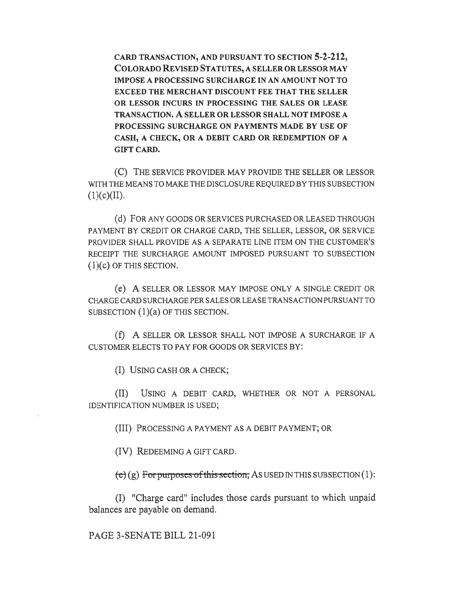CARD TRANSACTION, AND PURSUANT TO SECTION 5-2-212, COLORADO REVISED STATUTES, A SELLER OR LESSOR MAY IMPOSE A PROCESSING SURCHARGE IN AN AMOUNT NOT TO EXCEED THE MERCHANT DISCOUNT FEE THAT THE SELLER OR LESSOR INCURS IN PROCESSING THE SALES OR LEASE TRANSACTION. A SELLER OR LESSOR SHALL NOT IMPOSE A PROCESSING SURCHARGE ON PAYMENTS MADE BY USE OF CASH, A CHECK, OR A DEBIT CARD OR REDEMPTION OF A GIFT CARD.

(C) THE SERVICE PROVIDER MAY PROVIDE THE SELLER OR LESSOR WITH THE MEANS TO MAKE THE DISCLOSURE REQUIRED BY THIS SUBSECTION  $(1)(c)(II).$ 

(d) FOR ANY GOODS OR SERVICES PURCHASED OR LEASED THROUGH PAYMENT BY CREDIT OR CHARGE CARD, THE SELLER, LESSOR, OR SERVICE PROVIDER SHALL PROVIDE AS A SEPARATE LINE ITEM ON THE CUSTOMER'S RECEIPT THE SURCHARGE AMOUNT IMPOSED PURSUANT TO SUBSECTION (1)(c) OF THIS SECTION.

(e) A SELLER OR LESSOR MAY IMPOSE ONLY A SINGLE CREDIT OR CHARGE CARD SURCHARGE PER SALES OR LEASE TRANSACTION PURSUANT TO SUBSECTION (1)(a) OF THIS SECTION.

(f) A SELLER OR LESSOR SHALL NOT IMPOSE A SURCHARGE IF A CUSTOMER ELECTS TO PAY FOR GOODS OR SERVICES BY:

(I) USING CASH OR A CHECK;

(II) USING A DEBIT CARD, WHETHER OR NOT A PERSONAL IDENTIFICATION NUMBER IS USED;

(III) PROCESSING A PAYMENT AS A DEBIT PAYMENT; OR

(IV) REDEEMING A GIFT CARD.

 $f$ (e) (g) For purposes of this section, AS USED IN THIS SUBSECTION (1):

(I) "Charge card" includes those cards pursuant to which unpaid balances are payable on demand.

PAGE 3-SENATE BILL 21-091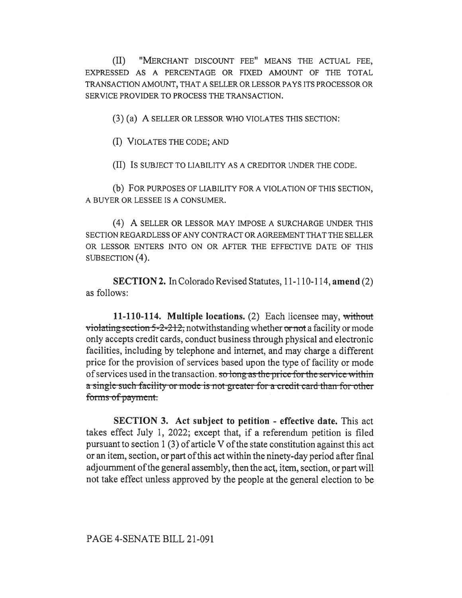(II) "MERCHANT DISCOUNT FEE" MEANS THE ACTUAL FEE, EXPRESSED AS A PERCENTAGE OR FIXED AMOUNT OF THE TOTAL TRANSACTION AMOUNT, THAT A SELLER OR LESSOR PAYS ITS PROCESSOR OR SERVICE PROVIDER TO PROCESS THE TRANSACTION.

(3) (a) A SELLER OR LESSOR WHO VIOLATES THIS SECTION:

(I) VIOLATES THE CODE; AND

(II) IS SUBJECT TO LIABILITY AS A CREDITOR UNDER THE CODE.

(b) FOR PURPOSES OF LIABILITY FOR A VIOLATION OF THIS SECTION, A BUYER OR LESSEE IS A CONSUMER.

(4) A SELLER OR LESSOR MAY IMPOSE A SURCHARGE UNDER THIS SECTION REGARDLESS OF ANY CONTRACT OR AGREEMENT THAT THE SELLER OR LESSOR ENTERS INTO ON OR AFTER THE EFFECTIVE DATE OF THIS SUBSECTION (4).

SECTION 2. In Colorado Revised Statutes, 11-110-114, amend (2) as follows:

11-110-114. Multiple locations.  $(2)$  Each licensee may, without violating section  $5-2-212$ , notwithstanding whether or not a facility or mode only accepts credit cards, conduct business through physical and electronic facilities, including by telephone and internet, and may charge a different price for the provision of services based upon the type of facility or mode of services used in the transaction. so long as the price for the service within a-single-such-facility or mode-is-not-greater-for-a-credit-card-than-for-other forms of payment.

SECTION 3. Act subject to petition - effective date. This act takes effect July 1, 2022; except that, if a referendum petition is filed pursuant to section 1 (3) of article V of the state constitution against this act or an item, section, or part of this act within the ninety-day period after final adjournment of the general assembly, then the act, item, section, or part will not take effect unless approved by the people at the general election to be